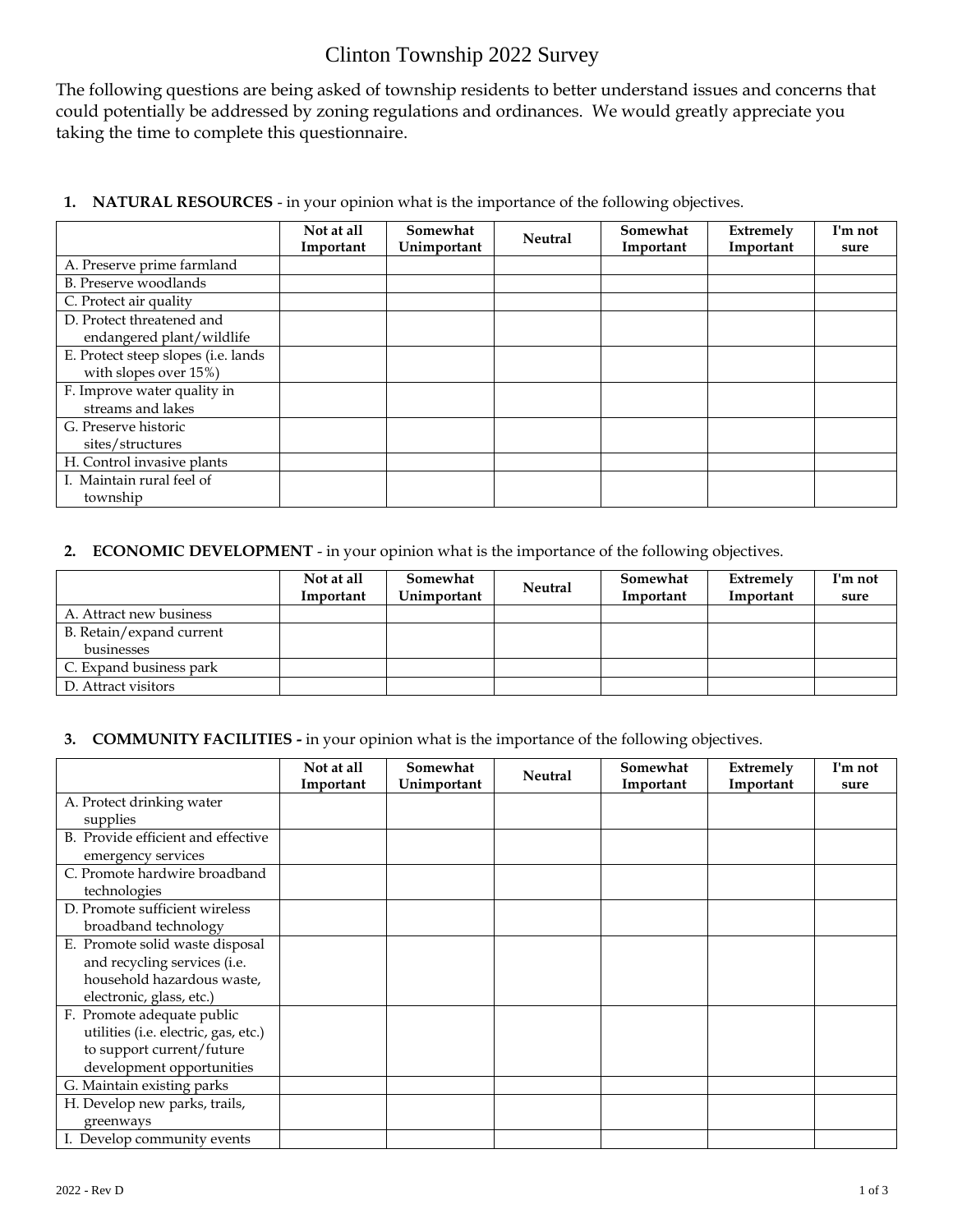## Clinton Township 2022 Survey

The following questions are being asked of township residents to better understand issues and concerns that could potentially be addressed by zoning regulations and ordinances. We would greatly appreciate you taking the time to complete this questionnaire.

|  | 1. NATURAL RESOURCES - in your opinion what is the importance of the following objectives. |  |  |  |  |  |
|--|--------------------------------------------------------------------------------------------|--|--|--|--|--|
|--|--------------------------------------------------------------------------------------------|--|--|--|--|--|

|                                     | Not at all | Somewhat    | <b>Neutral</b> | Somewhat  | <b>Extremely</b> | I'm not |
|-------------------------------------|------------|-------------|----------------|-----------|------------------|---------|
|                                     | Important  | Unimportant |                | Important | Important        | sure    |
| A. Preserve prime farmland          |            |             |                |           |                  |         |
| B. Preserve woodlands               |            |             |                |           |                  |         |
| C. Protect air quality              |            |             |                |           |                  |         |
| D. Protect threatened and           |            |             |                |           |                  |         |
| endangered plant/wildlife           |            |             |                |           |                  |         |
| E. Protect steep slopes (i.e. lands |            |             |                |           |                  |         |
| with slopes over 15%)               |            |             |                |           |                  |         |
| F. Improve water quality in         |            |             |                |           |                  |         |
| streams and lakes                   |            |             |                |           |                  |         |
| G. Preserve historic                |            |             |                |           |                  |         |
| sites/structures                    |            |             |                |           |                  |         |
| H. Control invasive plants          |            |             |                |           |                  |         |
| I. Maintain rural feel of           |            |             |                |           |                  |         |
| township                            |            |             |                |           |                  |         |

## **2. ECONOMIC DEVELOPMENT** - in your opinion what is the importance of the following objectives.

|                          | Not at all<br>Important | Somewhat<br>Unimportant | <b>Neutral</b> | Somewhat<br>Important | Extremely<br>Important | I'm not<br>sure |
|--------------------------|-------------------------|-------------------------|----------------|-----------------------|------------------------|-----------------|
| A. Attract new business  |                         |                         |                |                       |                        |                 |
| B. Retain/expand current |                         |                         |                |                       |                        |                 |
| businesses               |                         |                         |                |                       |                        |                 |
| C. Expand business park  |                         |                         |                |                       |                        |                 |
| D. Attract visitors      |                         |                         |                |                       |                        |                 |

## **3. COMMUNITY FACILITIES -** in your opinion what is the importance of the following objectives.

|                                      | Not at all<br>Important | Somewhat<br>Unimportant | <b>Neutral</b> | Somewhat<br>Important | Extremely<br>Important | I'm not<br>sure |
|--------------------------------------|-------------------------|-------------------------|----------------|-----------------------|------------------------|-----------------|
| A. Protect drinking water            |                         |                         |                |                       |                        |                 |
| supplies                             |                         |                         |                |                       |                        |                 |
| B. Provide efficient and effective   |                         |                         |                |                       |                        |                 |
| emergency services                   |                         |                         |                |                       |                        |                 |
| C. Promote hardwire broadband        |                         |                         |                |                       |                        |                 |
| technologies                         |                         |                         |                |                       |                        |                 |
| D. Promote sufficient wireless       |                         |                         |                |                       |                        |                 |
| broadband technology                 |                         |                         |                |                       |                        |                 |
| E. Promote solid waste disposal      |                         |                         |                |                       |                        |                 |
| and recycling services (i.e.         |                         |                         |                |                       |                        |                 |
| household hazardous waste,           |                         |                         |                |                       |                        |                 |
| electronic, glass, etc.)             |                         |                         |                |                       |                        |                 |
| F. Promote adequate public           |                         |                         |                |                       |                        |                 |
| utilities (i.e. electric, gas, etc.) |                         |                         |                |                       |                        |                 |
| to support current/future            |                         |                         |                |                       |                        |                 |
| development opportunities            |                         |                         |                |                       |                        |                 |
| G. Maintain existing parks           |                         |                         |                |                       |                        |                 |
| H. Develop new parks, trails,        |                         |                         |                |                       |                        |                 |
| greenways                            |                         |                         |                |                       |                        |                 |
| I. Develop community events          |                         |                         |                |                       |                        |                 |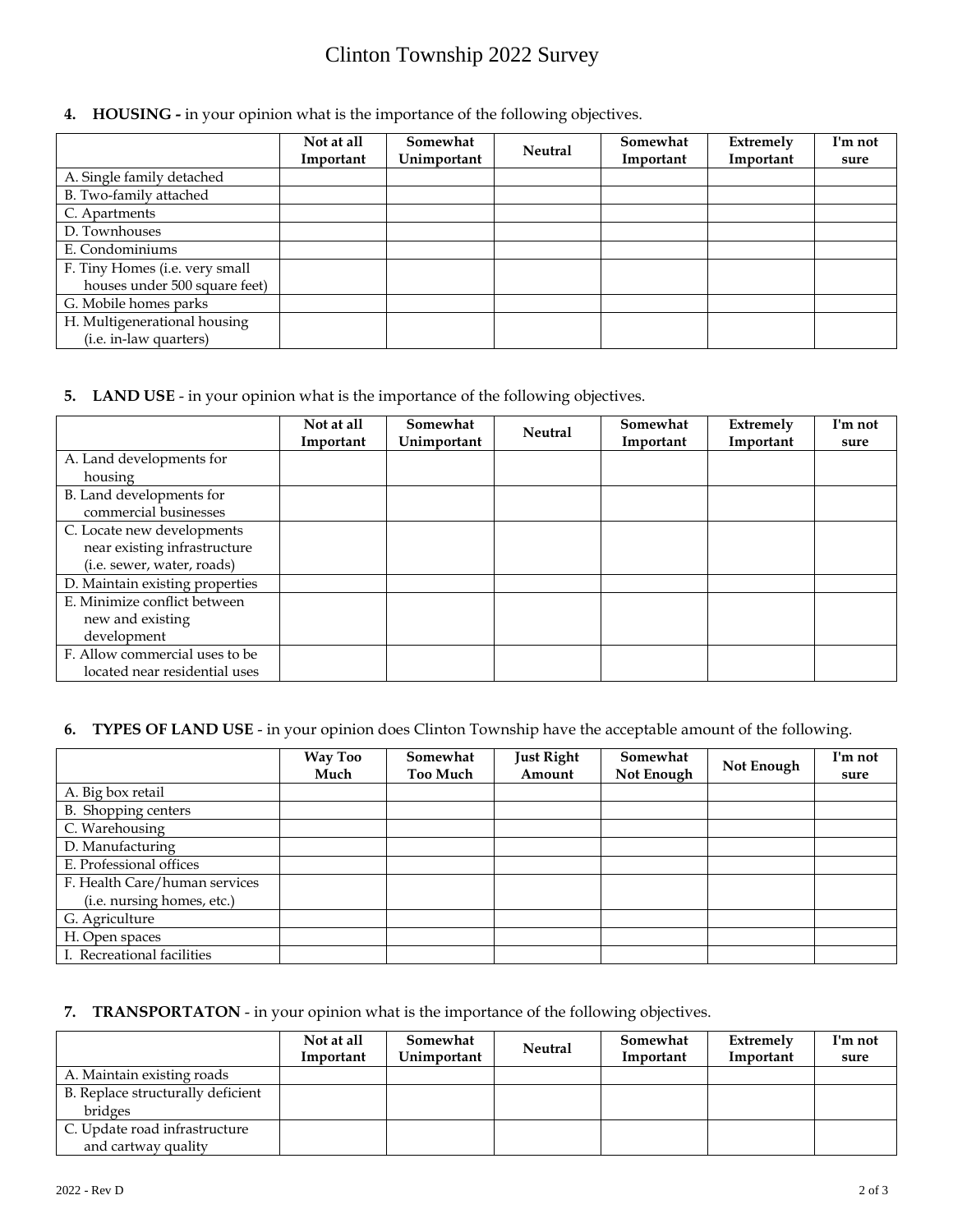# Clinton Township 2022 Survey

**4. HOUSING -** in your opinion what is the importance of the following objectives.

|                                | Not at all<br>Important | Somewhat<br>Unimportant | <b>Neutral</b> | Somewhat<br>Important | Extremely<br>Important | I'm not<br>sure |
|--------------------------------|-------------------------|-------------------------|----------------|-----------------------|------------------------|-----------------|
| A. Single family detached      |                         |                         |                |                       |                        |                 |
| B. Two-family attached         |                         |                         |                |                       |                        |                 |
| C. Apartments                  |                         |                         |                |                       |                        |                 |
| D. Townhouses                  |                         |                         |                |                       |                        |                 |
| E. Condominiums                |                         |                         |                |                       |                        |                 |
| F. Tiny Homes (i.e. very small |                         |                         |                |                       |                        |                 |
| houses under 500 square feet)  |                         |                         |                |                       |                        |                 |
| G. Mobile homes parks          |                         |                         |                |                       |                        |                 |
| H. Multigenerational housing   |                         |                         |                |                       |                        |                 |
| ( <i>i.e.</i> in-law quarters) |                         |                         |                |                       |                        |                 |

#### **5. LAND USE** - in your opinion what is the importance of the following objectives.

|                                 | Not at all | Somewhat    | <b>Neutral</b> | Somewhat  | <b>Extremely</b> | I'm not |
|---------------------------------|------------|-------------|----------------|-----------|------------------|---------|
|                                 | Important  | Unimportant |                | Important | Important        | sure    |
| A. Land developments for        |            |             |                |           |                  |         |
| housing                         |            |             |                |           |                  |         |
| B. Land developments for        |            |             |                |           |                  |         |
| commercial businesses           |            |             |                |           |                  |         |
| C. Locate new developments      |            |             |                |           |                  |         |
| near existing infrastructure    |            |             |                |           |                  |         |
| (i.e. sewer, water, roads)      |            |             |                |           |                  |         |
| D. Maintain existing properties |            |             |                |           |                  |         |
| E. Minimize conflict between    |            |             |                |           |                  |         |
| new and existing                |            |             |                |           |                  |         |
| development                     |            |             |                |           |                  |         |
| F. Allow commercial uses to be  |            |             |                |           |                  |         |
| located near residential uses   |            |             |                |           |                  |         |

## **6. TYPES OF LAND USE** - in your opinion does Clinton Township have the acceptable amount of the following.

|                               | <b>Way Too</b><br>Much | Somewhat<br><b>Too Much</b> | <b>Just Right</b><br>Amount | Somewhat<br>Not Enough | Not Enough | I'm not<br>sure |
|-------------------------------|------------------------|-----------------------------|-----------------------------|------------------------|------------|-----------------|
| A. Big box retail             |                        |                             |                             |                        |            |                 |
| B. Shopping centers           |                        |                             |                             |                        |            |                 |
| C. Warehousing                |                        |                             |                             |                        |            |                 |
| D. Manufacturing              |                        |                             |                             |                        |            |                 |
| E. Professional offices       |                        |                             |                             |                        |            |                 |
| F. Health Care/human services |                        |                             |                             |                        |            |                 |
| (i.e. nursing homes, etc.)    |                        |                             |                             |                        |            |                 |
| G. Agriculture                |                        |                             |                             |                        |            |                 |
| H. Open spaces                |                        |                             |                             |                        |            |                 |
| I. Recreational facilities    |                        |                             |                             |                        |            |                 |

## **7. TRANSPORTATON** - in your opinion what is the importance of the following objectives.

|                                   | Not at all | Somewhat<br><b>Neutral</b> | Somewhat  | Extremely | I'm not |
|-----------------------------------|------------|----------------------------|-----------|-----------|---------|
|                                   | Important  | Unimportant                | Important | Important | sure    |
| A. Maintain existing roads        |            |                            |           |           |         |
| B. Replace structurally deficient |            |                            |           |           |         |
| bridges                           |            |                            |           |           |         |
| C. Update road infrastructure     |            |                            |           |           |         |
| and cartway quality               |            |                            |           |           |         |